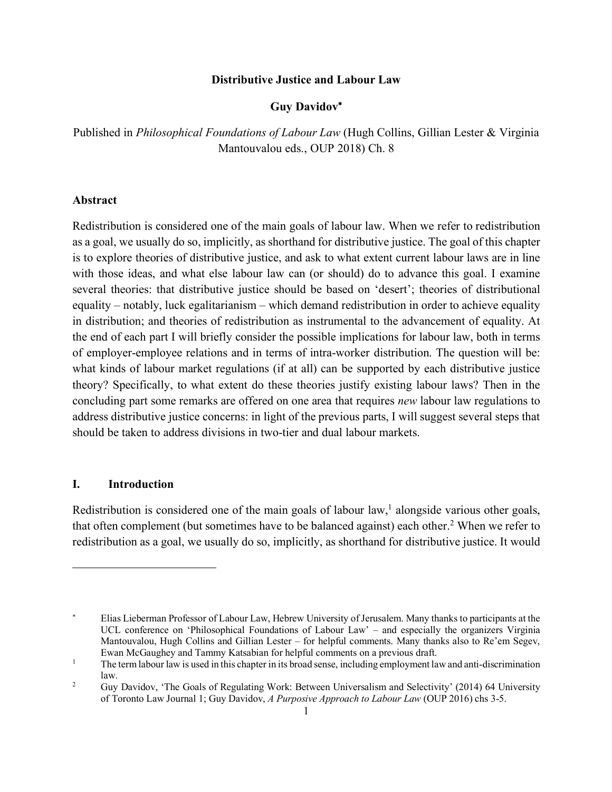#### **Distributive Justice and Labour Law**

## **Guy Davidov**\*

Published in *Philosophical Foundations of Labour Law* (Hugh Collins, Gillian Lester & Virginia Mantouvalou eds., OUP 2018) Ch. 8

## **Abstract**

Redistribution is considered one of the main goals of labour law. When we refer to redistribution as a goal, we usually do so, implicitly, as shorthand for distributive justice. The goal of this chapter is to explore theories of distributive justice, and ask to what extent current labour laws are in line with those ideas, and what else labour law can (or should) do to advance this goal. I examine several theories: that distributive justice should be based on 'desert'; theories of distributional equality – notably, luck egalitarianism – which demand redistribution in order to achieve equality in distribution; and theories of redistribution as instrumental to the advancement of equality. At the end of each part I will briefly consider the possible implications for labour law, both in terms of employer-employee relations and in terms of intra-worker distribution. The question will be: what kinds of labour market regulations (if at all) can be supported by each distributive justice theory? Specifically, to what extent do these theories justify existing labour laws? Then in the concluding part some remarks are offered on one area that requires *new* labour law regulations to address distributive justice concerns: in light of the previous parts, I will suggest several steps that should be taken to address divisions in two-tier and dual labour markets.

## **I. Introduction**

 $\overline{a}$ 

Redistribution is considered one of the main goals of labour law,<sup>1</sup> alongside various other goals, that often complement (but sometimes have to be balanced against) each other.<sup>2</sup> When we refer to redistribution as a goal, we usually do so, implicitly, as shorthand for distributive justice. It would

<sup>\*</sup> Elias Lieberman Professor of Labour Law, Hebrew University of Jerusalem. Many thanks to participants at the UCL conference on 'Philosophical Foundations of Labour Law' – and especially the organizers Virginia Mantouvalou, Hugh Collins and Gillian Lester – for helpful comments. Many thanks also to Re'em Segev, Ewan McGaughey and Tammy Katsabian for helpful comments on a previous draft.

<sup>&</sup>lt;sup>1</sup> The term labour law is used in this chapter in its broad sense, including employment law and anti-discrimination law.

<sup>&</sup>lt;sup>2</sup> Guy Davidov, 'The Goals of Regulating Work: Between Universalism and Selectivity' (2014) 64 University of Toronto Law Journal 1; Guy Davidov, *A Purposive Approach to Labour Law* (OUP 2016) chs 3-5.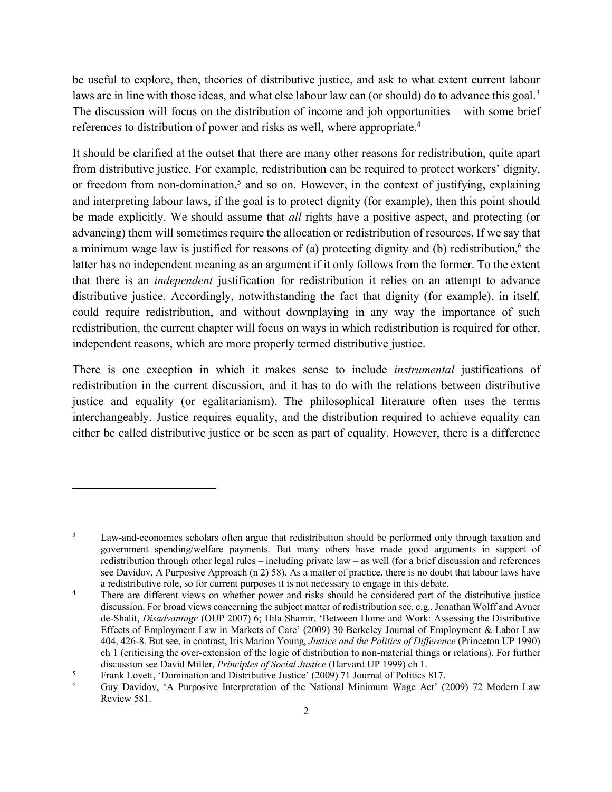be useful to explore, then, theories of distributive justice, and ask to what extent current labour laws are in line with those ideas, and what else labour law can (or should) do to advance this goal.<sup>3</sup> The discussion will focus on the distribution of income and job opportunities – with some brief references to distribution of power and risks as well, where appropriate.4

It should be clarified at the outset that there are many other reasons for redistribution, quite apart from distributive justice. For example, redistribution can be required to protect workers' dignity, or freedom from non-domination,<sup>5</sup> and so on. However, in the context of justifying, explaining and interpreting labour laws, if the goal is to protect dignity (for example), then this point should be made explicitly. We should assume that *all* rights have a positive aspect, and protecting (or advancing) them will sometimes require the allocation or redistribution of resources. If we say that a minimum wage law is justified for reasons of (a) protecting dignity and (b) redistribution, $6$  the latter has no independent meaning as an argument if it only follows from the former. To the extent that there is an *independent* justification for redistribution it relies on an attempt to advance distributive justice. Accordingly, notwithstanding the fact that dignity (for example), in itself, could require redistribution, and without downplaying in any way the importance of such redistribution, the current chapter will focus on ways in which redistribution is required for other, independent reasons, which are more properly termed distributive justice.

There is one exception in which it makes sense to include *instrumental* justifications of redistribution in the current discussion, and it has to do with the relations between distributive justice and equality (or egalitarianism). The philosophical literature often uses the terms interchangeably. Justice requires equality, and the distribution required to achieve equality can either be called distributive justice or be seen as part of equality. However, there is a difference

<sup>&</sup>lt;sup>3</sup> Law-and-economics scholars often argue that redistribution should be performed only through taxation and government spending/welfare payments. But many others have made good arguments in support of redistribution through other legal rules – including private law – as well (for a brief discussion and references see Davidov, A Purposive Approach (n 2) 58). As a matter of practice, there is no doubt that labour laws have a redistributive role, so for current purposes it is not necessary to engage in this debate.

<sup>&</sup>lt;sup>4</sup> There are different views on whether power and risks should be considered part of the distributive justice discussion. For broad views concerning the subject matter of redistribution see, e.g., Jonathan Wolff and Avner de-Shalit, *Disadvantage* (OUP 2007) 6; Hila Shamir, 'Between Home and Work: Assessing the Distributive Effects of Employment Law in Markets of Care' (2009) 30 Berkeley Journal of Employment & Labor Law 404, 426-8. But see, in contrast, Iris Marion Young, *Justice and the Politics of Difference* (Princeton UP 1990) ch 1 (criticising the over-extension of the logic of distribution to non-material things or relations). For further discussion see David Miller, *Principles of Social Justice* (Harvard UP 1999) ch 1.

<sup>5</sup> Frank Lovett, 'Domination and Distributive Justice' (2009) 71 Journal of Politics 817.

<sup>&</sup>lt;sup>6</sup> Guy Davidov, 'A Purposive Interpretation of the National Minimum Wage Act' (2009) 72 Modern Law Review 581.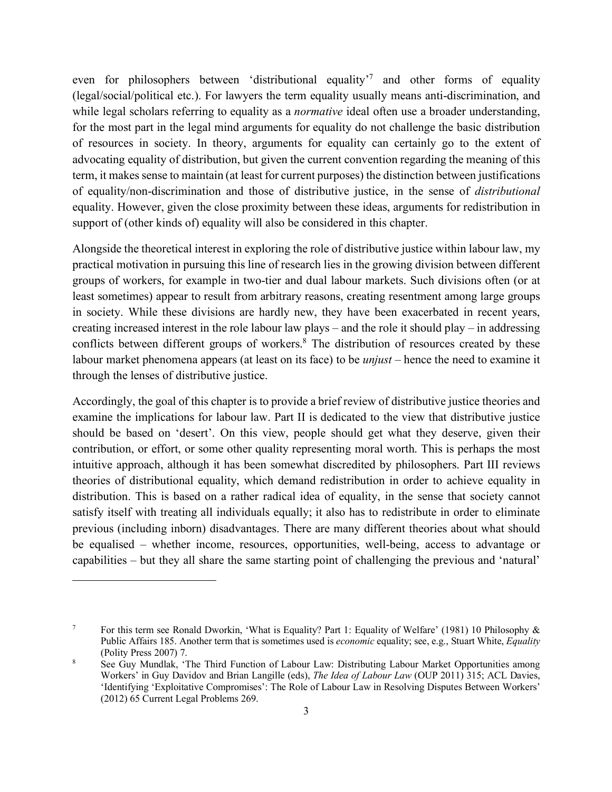even for philosophers between 'distributional equality'<sup>7</sup> and other forms of equality (legal/social/political etc.). For lawyers the term equality usually means anti-discrimination, and while legal scholars referring to equality as a *normative* ideal often use a broader understanding, for the most part in the legal mind arguments for equality do not challenge the basic distribution of resources in society. In theory, arguments for equality can certainly go to the extent of advocating equality of distribution, but given the current convention regarding the meaning of this term, it makes sense to maintain (at least for current purposes) the distinction between justifications of equality/non-discrimination and those of distributive justice, in the sense of *distributional* equality. However, given the close proximity between these ideas, arguments for redistribution in support of (other kinds of) equality will also be considered in this chapter.

Alongside the theoretical interest in exploring the role of distributive justice within labour law, my practical motivation in pursuing this line of research lies in the growing division between different groups of workers, for example in two-tier and dual labour markets. Such divisions often (or at least sometimes) appear to result from arbitrary reasons, creating resentment among large groups in society. While these divisions are hardly new, they have been exacerbated in recent years, creating increased interest in the role labour law plays – and the role it should play – in addressing conflicts between different groups of workers.<sup>8</sup> The distribution of resources created by these labour market phenomena appears (at least on its face) to be *unjust* – hence the need to examine it through the lenses of distributive justice.

Accordingly, the goal of this chapter is to provide a brief review of distributive justice theories and examine the implications for labour law. Part II is dedicated to the view that distributive justice should be based on 'desert'. On this view, people should get what they deserve, given their contribution, or effort, or some other quality representing moral worth. This is perhaps the most intuitive approach, although it has been somewhat discredited by philosophers. Part III reviews theories of distributional equality, which demand redistribution in order to achieve equality in distribution. This is based on a rather radical idea of equality, in the sense that society cannot satisfy itself with treating all individuals equally; it also has to redistribute in order to eliminate previous (including inborn) disadvantages. There are many different theories about what should be equalised – whether income, resources, opportunities, well-being, access to advantage or capabilities – but they all share the same starting point of challenging the previous and 'natural'

<sup>7</sup> For this term see Ronald Dworkin, 'What is Equality? Part 1: Equality of Welfare' (1981) 10 Philosophy & Public Affairs 185. Another term that is sometimes used is *economic* equality; see, e.g., Stuart White, *Equality*  (Polity Press 2007) 7.

<sup>&</sup>lt;sup>8</sup> See Guy Mundlak, 'The Third Function of Labour Law: Distributing Labour Market Opportunities among Workers' in Guy Davidov and Brian Langille (eds), *The Idea of Labour Law* (OUP 2011) 315; ACL Davies, 'Identifying 'Exploitative Compromises': The Role of Labour Law in Resolving Disputes Between Workers' (2012) 65 Current Legal Problems 269.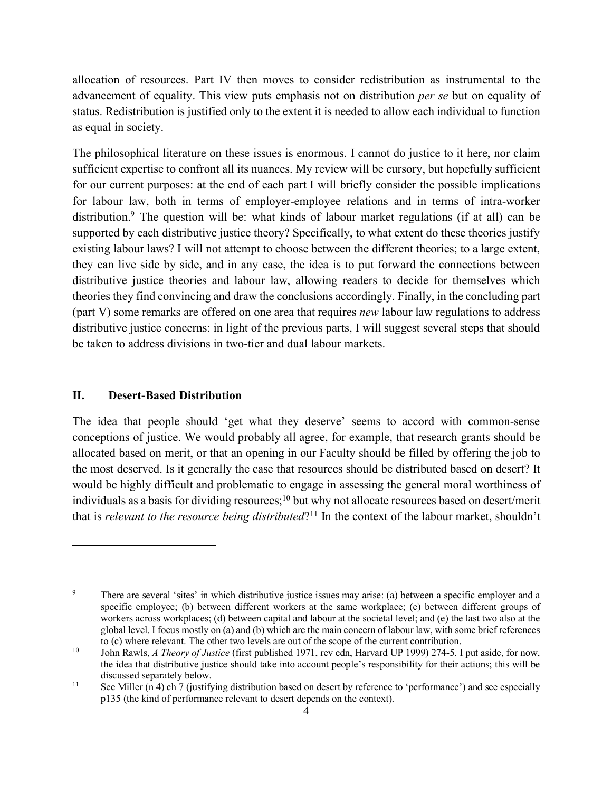allocation of resources. Part IV then moves to consider redistribution as instrumental to the advancement of equality. This view puts emphasis not on distribution *per se* but on equality of status. Redistribution is justified only to the extent it is needed to allow each individual to function as equal in society.

The philosophical literature on these issues is enormous. I cannot do justice to it here, nor claim sufficient expertise to confront all its nuances. My review will be cursory, but hopefully sufficient for our current purposes: at the end of each part I will briefly consider the possible implications for labour law, both in terms of employer-employee relations and in terms of intra-worker distribution.<sup>9</sup> The question will be: what kinds of labour market regulations (if at all) can be supported by each distributive justice theory? Specifically, to what extent do these theories justify existing labour laws? I will not attempt to choose between the different theories; to a large extent, they can live side by side, and in any case, the idea is to put forward the connections between distributive justice theories and labour law, allowing readers to decide for themselves which theories they find convincing and draw the conclusions accordingly. Finally, in the concluding part (part V) some remarks are offered on one area that requires *new* labour law regulations to address distributive justice concerns: in light of the previous parts, I will suggest several steps that should be taken to address divisions in two-tier and dual labour markets.

#### **II. Desert-Based Distribution**

 $\overline{a}$ 

The idea that people should 'get what they deserve' seems to accord with common-sense conceptions of justice. We would probably all agree, for example, that research grants should be allocated based on merit, or that an opening in our Faculty should be filled by offering the job to the most deserved. Is it generally the case that resources should be distributed based on desert? It would be highly difficult and problematic to engage in assessing the general moral worthiness of individuals as a basis for dividing resources;<sup>10</sup> but why not allocate resources based on desert/merit that is *relevant to the resource being distributed*?11 In the context of the labour market, shouldn't

<sup>&</sup>lt;sup>9</sup> There are several 'sites' in which distributive justice issues may arise: (a) between a specific employer and a specific employee; (b) between different workers at the same workplace; (c) between different groups of workers across workplaces; (d) between capital and labour at the societal level; and (e) the last two also at the global level. I focus mostly on (a) and (b) which are the main concern of labour law, with some brief references to (c) where relevant. The other two levels are out of the scope of the current contribution.

<sup>10</sup> John Rawls, *A Theory of Justice* (first published 1971, rev edn, Harvard UP 1999) 274-5. I put aside, for now, the idea that distributive justice should take into account people's responsibility for their actions; this will be discussed separately below.<br>
See Miller (n 4) ch 7 (justifying distribution based on desert by reference to 'performance') and see especially

p135 (the kind of performance relevant to desert depends on the context).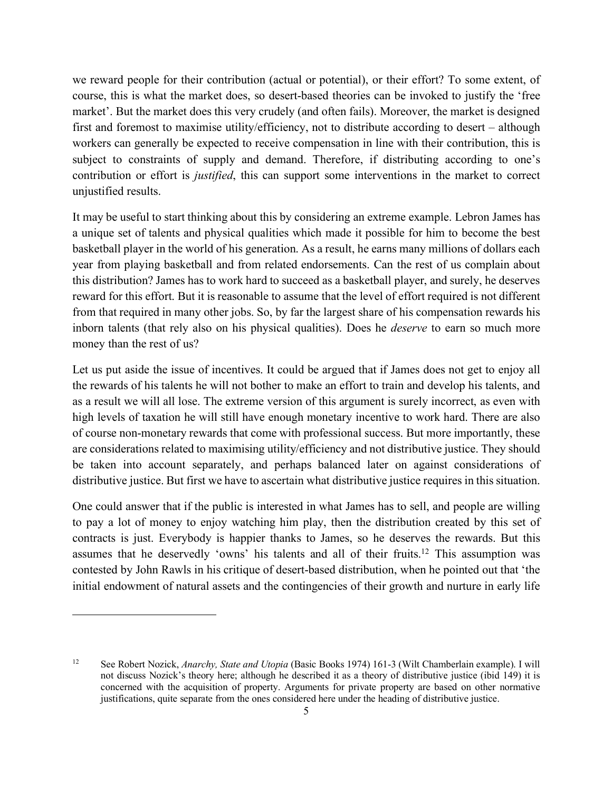we reward people for their contribution (actual or potential), or their effort? To some extent, of course, this is what the market does, so desert-based theories can be invoked to justify the 'free market'. But the market does this very crudely (and often fails). Moreover, the market is designed first and foremost to maximise utility/efficiency, not to distribute according to desert – although workers can generally be expected to receive compensation in line with their contribution, this is subject to constraints of supply and demand. Therefore, if distributing according to one's contribution or effort is *justified*, this can support some interventions in the market to correct unjustified results.

It may be useful to start thinking about this by considering an extreme example. Lebron James has a unique set of talents and physical qualities which made it possible for him to become the best basketball player in the world of his generation. As a result, he earns many millions of dollars each year from playing basketball and from related endorsements. Can the rest of us complain about this distribution? James has to work hard to succeed as a basketball player, and surely, he deserves reward for this effort. But it is reasonable to assume that the level of effort required is not different from that required in many other jobs. So, by far the largest share of his compensation rewards his inborn talents (that rely also on his physical qualities). Does he *deserve* to earn so much more money than the rest of us?

Let us put aside the issue of incentives. It could be argued that if James does not get to enjoy all the rewards of his talents he will not bother to make an effort to train and develop his talents, and as a result we will all lose. The extreme version of this argument is surely incorrect, as even with high levels of taxation he will still have enough monetary incentive to work hard. There are also of course non-monetary rewards that come with professional success. But more importantly, these are considerations related to maximising utility/efficiency and not distributive justice. They should be taken into account separately, and perhaps balanced later on against considerations of distributive justice. But first we have to ascertain what distributive justice requires in this situation.

One could answer that if the public is interested in what James has to sell, and people are willing to pay a lot of money to enjoy watching him play, then the distribution created by this set of contracts is just. Everybody is happier thanks to James, so he deserves the rewards. But this assumes that he deservedly 'owns' his talents and all of their fruits.12 This assumption was contested by John Rawls in his critique of desert-based distribution, when he pointed out that 'the initial endowment of natural assets and the contingencies of their growth and nurture in early life

<sup>12</sup> See Robert Nozick, *Anarchy, State and Utopia* (Basic Books 1974) 161-3 (Wilt Chamberlain example). I will not discuss Nozick's theory here; although he described it as a theory of distributive justice (ibid 149) it is concerned with the acquisition of property. Arguments for private property are based on other normative justifications, quite separate from the ones considered here under the heading of distributive justice.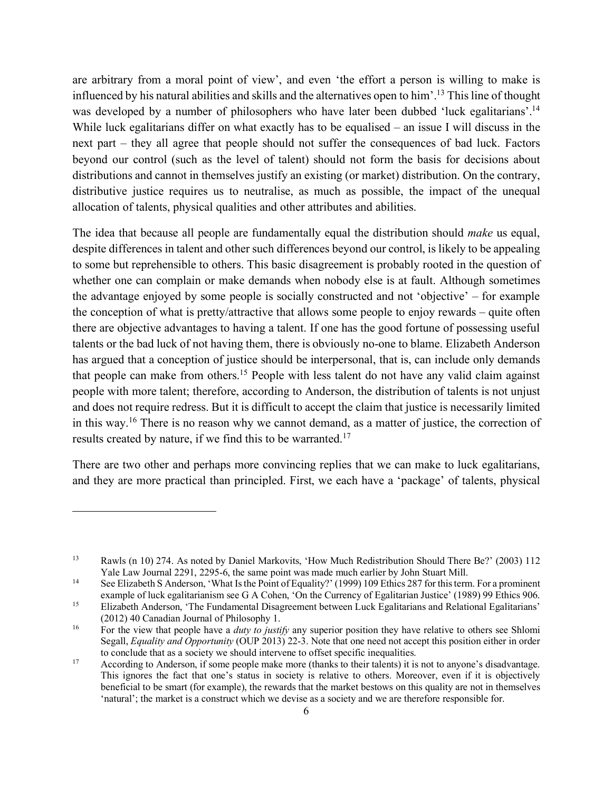are arbitrary from a moral point of view', and even 'the effort a person is willing to make is influenced by his natural abilities and skills and the alternatives open to him'.13 This line of thought was developed by a number of philosophers who have later been dubbed 'luck egalitarians'.<sup>14</sup> While luck egalitarians differ on what exactly has to be equalised – an issue I will discuss in the next part – they all agree that people should not suffer the consequences of bad luck. Factors beyond our control (such as the level of talent) should not form the basis for decisions about distributions and cannot in themselves justify an existing (or market) distribution. On the contrary, distributive justice requires us to neutralise, as much as possible, the impact of the unequal allocation of talents, physical qualities and other attributes and abilities.

The idea that because all people are fundamentally equal the distribution should *make* us equal, despite differences in talent and other such differences beyond our control, is likely to be appealing to some but reprehensible to others. This basic disagreement is probably rooted in the question of whether one can complain or make demands when nobody else is at fault. Although sometimes the advantage enjoyed by some people is socially constructed and not 'objective' – for example the conception of what is pretty/attractive that allows some people to enjoy rewards – quite often there are objective advantages to having a talent. If one has the good fortune of possessing useful talents or the bad luck of not having them, there is obviously no-one to blame. Elizabeth Anderson has argued that a conception of justice should be interpersonal, that is, can include only demands that people can make from others. <sup>15</sup> People with less talent do not have any valid claim against people with more talent; therefore, according to Anderson, the distribution of talents is not unjust and does not require redress. But it is difficult to accept the claim that justice is necessarily limited in this way.16 There is no reason why we cannot demand, as a matter of justice, the correction of results created by nature, if we find this to be warranted.<sup>17</sup>

There are two other and perhaps more convincing replies that we can make to luck egalitarians, and they are more practical than principled. First, we each have a 'package' of talents, physical

<sup>&</sup>lt;sup>13</sup> Rawls (n 10) 274. As noted by Daniel Markovits, 'How Much Redistribution Should There Be?' (2003) 112<br>Yale Law Journal 2291, 2295-6, the same point was made much earlier by John Stuart Mill.

<sup>&</sup>lt;sup>14</sup> See Elizabeth S Anderson, 'What Is the Point of Equality?' (1999) 109 Ethics 287 for this term. For a prominent example of luck egalitarianism see G A Cohen, 'On the Currency of Egalitarian Justice' (1989) 99 Ethics 906.

<sup>&</sup>lt;sup>15</sup> Elizabeth Anderson, 'The Fundamental Disagreement between Luck Egalitarians and Relational Egalitarians' (2012) 40 Canadian Journal of Philosophy 1.

<sup>&</sup>lt;sup>16</sup> For the view that people have a *duty to justify* any superior position they have relative to others see Shlomi Segall, *Equality and Opportunity* (OUP 2013) 22-3. Note that one need not accept this position either in order to conclude that as a society we should intervene to offset specific inequalities.

<sup>&</sup>lt;sup>17</sup> According to Anderson, if some people make more (thanks to their talents) it is not to anyone's disadvantage. This ignores the fact that one's status in society is relative to others. Moreover, even if it is objectively beneficial to be smart (for example), the rewards that the market bestows on this quality are not in themselves 'natural'; the market is a construct which we devise as a society and we are therefore responsible for.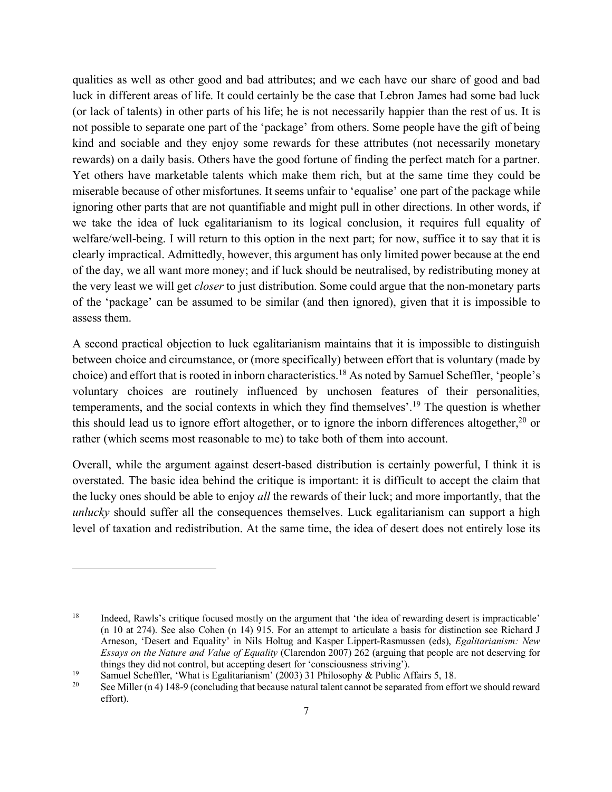qualities as well as other good and bad attributes; and we each have our share of good and bad luck in different areas of life. It could certainly be the case that Lebron James had some bad luck (or lack of talents) in other parts of his life; he is not necessarily happier than the rest of us. It is not possible to separate one part of the 'package' from others. Some people have the gift of being kind and sociable and they enjoy some rewards for these attributes (not necessarily monetary rewards) on a daily basis. Others have the good fortune of finding the perfect match for a partner. Yet others have marketable talents which make them rich, but at the same time they could be miserable because of other misfortunes. It seems unfair to 'equalise' one part of the package while ignoring other parts that are not quantifiable and might pull in other directions. In other words, if we take the idea of luck egalitarianism to its logical conclusion, it requires full equality of welfare/well-being. I will return to this option in the next part; for now, suffice it to say that it is clearly impractical. Admittedly, however, this argument has only limited power because at the end of the day, we all want more money; and if luck should be neutralised, by redistributing money at the very least we will get *closer* to just distribution. Some could argue that the non-monetary parts of the 'package' can be assumed to be similar (and then ignored), given that it is impossible to assess them.

A second practical objection to luck egalitarianism maintains that it is impossible to distinguish between choice and circumstance, or (more specifically) between effort that is voluntary (made by choice) and effort that is rooted in inborn characteristics.18 As noted by Samuel Scheffler, 'people's voluntary choices are routinely influenced by unchosen features of their personalities, temperaments, and the social contexts in which they find themselves'.19 The question is whether this should lead us to ignore effort altogether, or to ignore the inborn differences altogether,<sup>20</sup> or rather (which seems most reasonable to me) to take both of them into account.

Overall, while the argument against desert-based distribution is certainly powerful, I think it is overstated. The basic idea behind the critique is important: it is difficult to accept the claim that the lucky ones should be able to enjoy *all* the rewards of their luck; and more importantly, that the *unlucky* should suffer all the consequences themselves. Luck egalitarianism can support a high level of taxation and redistribution. At the same time, the idea of desert does not entirely lose its

<sup>&</sup>lt;sup>18</sup> Indeed, Rawls's critique focused mostly on the argument that 'the idea of rewarding desert is impracticable' (n 10 at 274). See also Cohen (n 14) 915. For an attempt to articulate a basis for distinction see Richard J Arneson, 'Desert and Equality' in Nils Holtug and Kasper Lippert-Rasmussen (eds), *Egalitarianism: New Essays on the Nature and Value of Equality* (Clarendon 2007) 262 (arguing that people are not deserving for things they did not control, but accepting desert for 'consciousness striving').<br>
Samuel Scheffler, 'What is Egalitarianism' (2003) 31 Philosophy & Public Affairs 5, 18.<br>
See Miller (n 4) 148-9 (concluding that because nat

effort).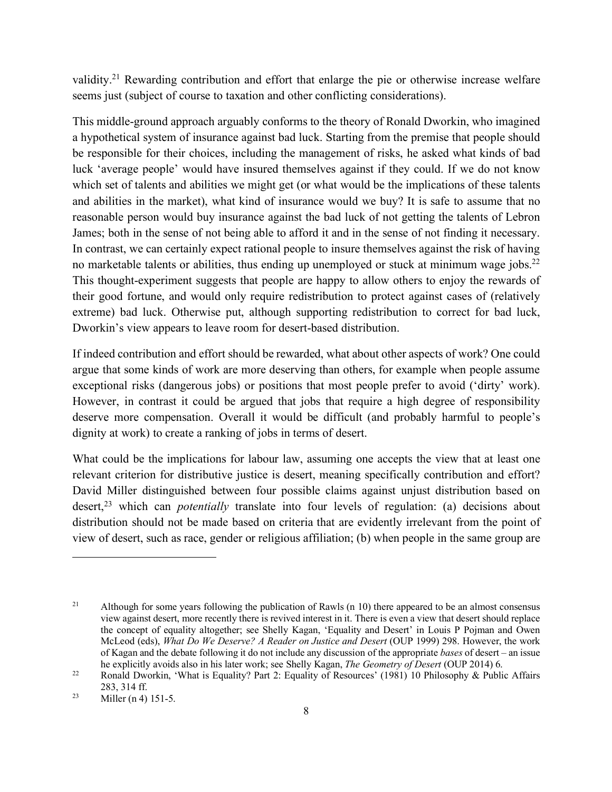validity.<sup>21</sup> Rewarding contribution and effort that enlarge the pie or otherwise increase welfare seems just (subject of course to taxation and other conflicting considerations).

This middle-ground approach arguably conforms to the theory of Ronald Dworkin, who imagined a hypothetical system of insurance against bad luck. Starting from the premise that people should be responsible for their choices, including the management of risks, he asked what kinds of bad luck 'average people' would have insured themselves against if they could. If we do not know which set of talents and abilities we might get (or what would be the implications of these talents and abilities in the market), what kind of insurance would we buy? It is safe to assume that no reasonable person would buy insurance against the bad luck of not getting the talents of Lebron James; both in the sense of not being able to afford it and in the sense of not finding it necessary. In contrast, we can certainly expect rational people to insure themselves against the risk of having no marketable talents or abilities, thus ending up unemployed or stuck at minimum wage jobs.<sup>22</sup> This thought-experiment suggests that people are happy to allow others to enjoy the rewards of their good fortune, and would only require redistribution to protect against cases of (relatively extreme) bad luck. Otherwise put, although supporting redistribution to correct for bad luck, Dworkin's view appears to leave room for desert-based distribution.

If indeed contribution and effort should be rewarded, what about other aspects of work? One could argue that some kinds of work are more deserving than others, for example when people assume exceptional risks (dangerous jobs) or positions that most people prefer to avoid ('dirty' work). However, in contrast it could be argued that jobs that require a high degree of responsibility deserve more compensation. Overall it would be difficult (and probably harmful to people's dignity at work) to create a ranking of jobs in terms of desert.

What could be the implications for labour law, assuming one accepts the view that at least one relevant criterion for distributive justice is desert, meaning specifically contribution and effort? David Miller distinguished between four possible claims against unjust distribution based on desert, <sup>23</sup> which can *potentially* translate into four levels of regulation: (a) decisions about distribution should not be made based on criteria that are evidently irrelevant from the point of view of desert, such as race, gender or religious affiliation; (b) when people in the same group are

<sup>&</sup>lt;sup>21</sup> Although for some years following the publication of Rawls (n 10) there appeared to be an almost consensus view against desert, more recently there is revived interest in it. There is even a view that desert should replace the concept of equality altogether; see Shelly Kagan, 'Equality and Desert' in Louis P Pojman and Owen McLeod (eds), *What Do We Deserve? A Reader on Justice and Desert* (OUP 1999) 298. However, the work of Kagan and the debate following it do not include any discussion of the appropriate *bases* of desert – an issue he explicitly avoids also in his later work; see Shelly Kagan, *The Geometry of Desert* (OUP 2014) 6.

<sup>&</sup>lt;sup>22</sup> Ronald Dworkin, 'What is Equality? Part 2: Equality of Resources' (1981) 10 Philosophy & Public Affairs 283, 314 ff.

 $2^3$  Miller (n 4) 151-5.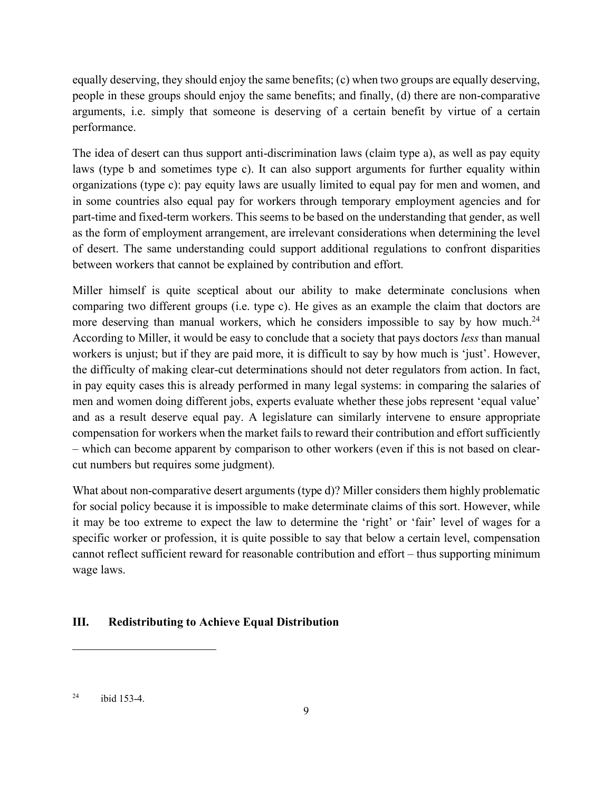equally deserving, they should enjoy the same benefits; (c) when two groups are equally deserving, people in these groups should enjoy the same benefits; and finally, (d) there are non-comparative arguments, i.e. simply that someone is deserving of a certain benefit by virtue of a certain performance.

The idea of desert can thus support anti-discrimination laws (claim type a), as well as pay equity laws (type b and sometimes type c). It can also support arguments for further equality within organizations (type c): pay equity laws are usually limited to equal pay for men and women, and in some countries also equal pay for workers through temporary employment agencies and for part-time and fixed-term workers. This seems to be based on the understanding that gender, as well as the form of employment arrangement, are irrelevant considerations when determining the level of desert. The same understanding could support additional regulations to confront disparities between workers that cannot be explained by contribution and effort.

Miller himself is quite sceptical about our ability to make determinate conclusions when comparing two different groups (i.e. type c). He gives as an example the claim that doctors are more deserving than manual workers, which he considers impossible to say by how much.<sup>24</sup> According to Miller, it would be easy to conclude that a society that pays doctors *less* than manual workers is unjust; but if they are paid more, it is difficult to say by how much is 'just'. However, the difficulty of making clear-cut determinations should not deter regulators from action. In fact, in pay equity cases this is already performed in many legal systems: in comparing the salaries of men and women doing different jobs, experts evaluate whether these jobs represent 'equal value' and as a result deserve equal pay. A legislature can similarly intervene to ensure appropriate compensation for workers when the market fails to reward their contribution and effort sufficiently – which can become apparent by comparison to other workers (even if this is not based on clearcut numbers but requires some judgment).

What about non-comparative desert arguments (type d)? Miller considers them highly problematic for social policy because it is impossible to make determinate claims of this sort. However, while it may be too extreme to expect the law to determine the 'right' or 'fair' level of wages for a specific worker or profession, it is quite possible to say that below a certain level, compensation cannot reflect sufficient reward for reasonable contribution and effort – thus supporting minimum wage laws.

# **III. Redistributing to Achieve Equal Distribution**

 $^{24}$  ibid 153-4.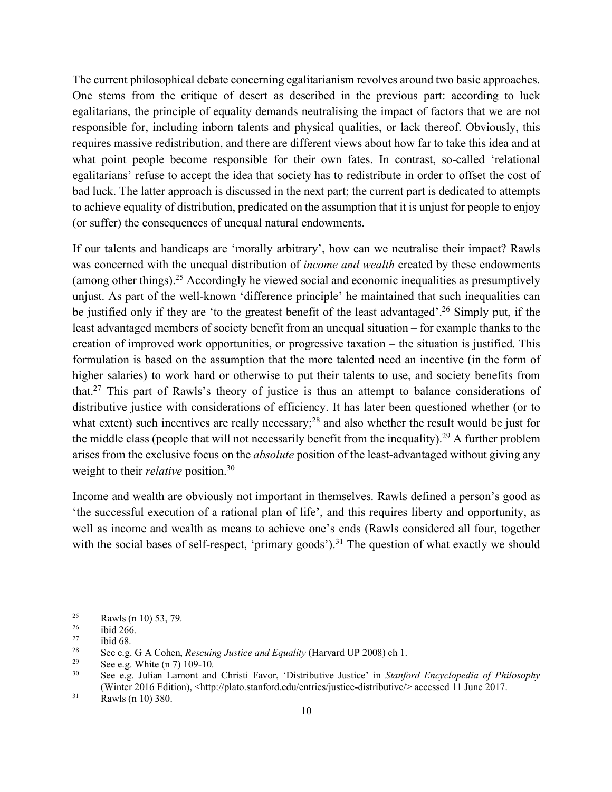The current philosophical debate concerning egalitarianism revolves around two basic approaches. One stems from the critique of desert as described in the previous part: according to luck egalitarians, the principle of equality demands neutralising the impact of factors that we are not responsible for, including inborn talents and physical qualities, or lack thereof. Obviously, this requires massive redistribution, and there are different views about how far to take this idea and at what point people become responsible for their own fates. In contrast, so-called 'relational egalitarians' refuse to accept the idea that society has to redistribute in order to offset the cost of bad luck. The latter approach is discussed in the next part; the current part is dedicated to attempts to achieve equality of distribution, predicated on the assumption that it is unjust for people to enjoy (or suffer) the consequences of unequal natural endowments.

If our talents and handicaps are 'morally arbitrary', how can we neutralise their impact? Rawls was concerned with the unequal distribution of *income and wealth* created by these endowments (among other things).25 Accordingly he viewed social and economic inequalities as presumptively unjust. As part of the well-known 'difference principle' he maintained that such inequalities can be justified only if they are 'to the greatest benefit of the least advantaged'. <sup>26</sup> Simply put, if the least advantaged members of society benefit from an unequal situation – for example thanks to the creation of improved work opportunities, or progressive taxation – the situation is justified. This formulation is based on the assumption that the more talented need an incentive (in the form of higher salaries) to work hard or otherwise to put their talents to use, and society benefits from that.<sup>27</sup> This part of Rawls's theory of justice is thus an attempt to balance considerations of distributive justice with considerations of efficiency. It has later been questioned whether (or to what extent) such incentives are really necessary;<sup>28</sup> and also whether the result would be just for the middle class (people that will not necessarily benefit from the inequality).<sup>29</sup> A further problem arises from the exclusive focus on the *absolute* position of the least-advantaged without giving any weight to their *relative* position.30

Income and wealth are obviously not important in themselves. Rawls defined a person's good as 'the successful execution of a rational plan of life', and this requires liberty and opportunity, as well as income and wealth as means to achieve one's ends (Rawls considered all four, together with the social bases of self-respect, 'primary goods').<sup>31</sup> The question of what exactly we should

 $\frac{25}{26}$  Rawls (n 10) 53, 79.

 $rac{26}{27}$  ibid 266.

 $\frac{27}{28}$  ibid 68.

<sup>&</sup>lt;sup>28</sup> See e.g. G A Cohen, *Rescuing Justice and Equality* (Harvard UP 2008) ch 1.<br><sup>29</sup> See e.g. White (n 7) 109-10.<br><sup>30</sup> See e.g. Julian Lamont and Christi Eavor. 'Distributive Justice' in *Stanfo* 

<sup>30</sup> See e.g. Julian Lamont and Christi Favor, 'Distributive Justice' in *Stanford Encyclopedia of Philosophy* (Winter 2016 Edition), <http://plato.stanford.edu/entries/justice-distributive/> accessed 11 June 2017.<br>Rawls (n 10) 380.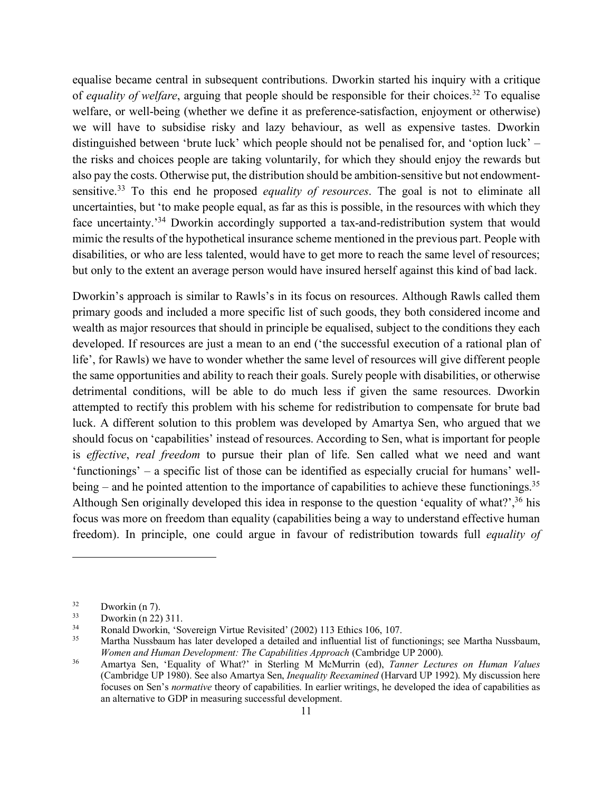equalise became central in subsequent contributions. Dworkin started his inquiry with a critique of *equality of welfare*, arguing that people should be responsible for their choices.<sup>32</sup> To equalise welfare, or well-being (whether we define it as preference-satisfaction, enjoyment or otherwise) we will have to subsidise risky and lazy behaviour, as well as expensive tastes. Dworkin distinguished between 'brute luck' which people should not be penalised for, and 'option luck' – the risks and choices people are taking voluntarily, for which they should enjoy the rewards but also pay the costs. Otherwise put, the distribution should be ambition-sensitive but not endowmentsensitive.33 To this end he proposed *equality of resources*. The goal is not to eliminate all uncertainties, but 'to make people equal, as far as this is possible, in the resources with which they face uncertainty.'34 Dworkin accordingly supported a tax-and-redistribution system that would mimic the results of the hypothetical insurance scheme mentioned in the previous part. People with disabilities, or who are less talented, would have to get more to reach the same level of resources; but only to the extent an average person would have insured herself against this kind of bad lack.

Dworkin's approach is similar to Rawls's in its focus on resources. Although Rawls called them primary goods and included a more specific list of such goods, they both considered income and wealth as major resources that should in principle be equalised, subject to the conditions they each developed. If resources are just a mean to an end ('the successful execution of a rational plan of life', for Rawls) we have to wonder whether the same level of resources will give different people the same opportunities and ability to reach their goals. Surely people with disabilities, or otherwise detrimental conditions, will be able to do much less if given the same resources. Dworkin attempted to rectify this problem with his scheme for redistribution to compensate for brute bad luck. A different solution to this problem was developed by Amartya Sen, who argued that we should focus on 'capabilities' instead of resources. According to Sen, what is important for people is *effective*, *real freedom* to pursue their plan of life. Sen called what we need and want 'functionings' – a specific list of those can be identified as especially crucial for humans' wellbeing – and he pointed attention to the importance of capabilities to achieve these functionings.<sup>35</sup> Although Sen originally developed this idea in response to the question 'equality of what?',<sup>36</sup> his focus was more on freedom than equality (capabilities being a way to understand effective human freedom). In principle, one could argue in favour of redistribution towards full *equality of* 

 $32$  Dworkin (n 7).

 $33$  Dworkin (n 22) 311.

<sup>&</sup>lt;sup>34</sup> Ronald Dworkin, 'Sovereign Virtue Revisited' (2002) 113 Ethics 106, 107.<br><sup>35</sup> Martha Nussbaum has later developed a detailed and influential list of fun

<sup>35</sup> Martha Nussbaum has later developed a detailed and influential list of functionings; see Martha Nussbaum, *Women and Human Development: The Capabilities Approach* (Cambridge UP 2000).<br><sup>36</sup> Amartya Sen, 'Equality of What?' in Sterling M McMurrin (ed), *Tanner Lectures on Human Values* 

<sup>(</sup>Cambridge UP 1980). See also Amartya Sen, *Inequality Reexamined* (Harvard UP 1992). My discussion here focuses on Sen's *normative* theory of capabilities. In earlier writings, he developed the idea of capabilities as an alternative to GDP in measuring successful development.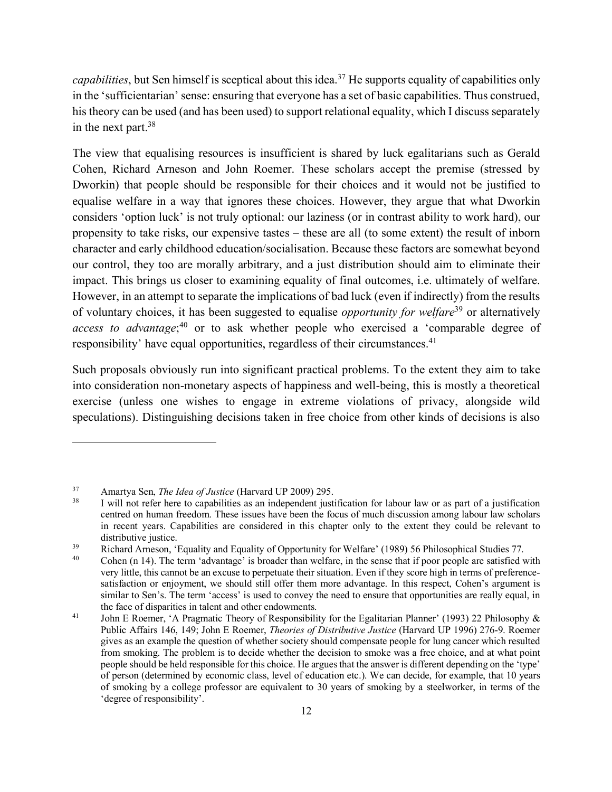*capabilities*, but Sen himself is sceptical about this idea.<sup>37</sup> He supports equality of capabilities only in the 'sufficientarian' sense: ensuring that everyone has a set of basic capabilities. Thus construed, his theory can be used (and has been used) to support relational equality, which I discuss separately in the next part.38

The view that equalising resources is insufficient is shared by luck egalitarians such as Gerald Cohen, Richard Arneson and John Roemer. These scholars accept the premise (stressed by Dworkin) that people should be responsible for their choices and it would not be justified to equalise welfare in a way that ignores these choices. However, they argue that what Dworkin considers 'option luck' is not truly optional: our laziness (or in contrast ability to work hard), our propensity to take risks, our expensive tastes – these are all (to some extent) the result of inborn character and early childhood education/socialisation. Because these factors are somewhat beyond our control, they too are morally arbitrary, and a just distribution should aim to eliminate their impact. This brings us closer to examining equality of final outcomes, i.e. ultimately of welfare. However, in an attempt to separate the implications of bad luck (even if indirectly) from the results of voluntary choices, it has been suggested to equalise *opportunity for welfare*<sup>39</sup> or alternatively access to advantage;<sup>40</sup> or to ask whether people who exercised a 'comparable degree of responsibility' have equal opportunities, regardless of their circumstances.<sup>41</sup>

Such proposals obviously run into significant practical problems. To the extent they aim to take into consideration non-monetary aspects of happiness and well-being, this is mostly a theoretical exercise (unless one wishes to engage in extreme violations of privacy, alongside wild speculations). Distinguishing decisions taken in free choice from other kinds of decisions is also

<sup>37</sup> Amartya Sen, *The Idea of Justice* (Harvard UP 2009) 295.

I will not refer here to capabilities as an independent justification for labour law or as part of a justification centred on human freedom. These issues have been the focus of much discussion among labour law scholars in recent years. Capabilities are considered in this chapter only to the extent they could be relevant to distributive justice.<br>
39 Richard Arneson, 'Equality and Equality of Opportunity for Welfare' (1989) 56 Philosophical Studies 77.<br>
40 Cohen (n 14) The term industries? is broader than welfare in the same that if near nearl

Cohen (n 14). The term 'advantage' is broader than welfare, in the sense that if poor people are satisfied with very little, this cannot be an excuse to perpetuate their situation. Even if they score high in terms of preferencesatisfaction or enjoyment, we should still offer them more advantage. In this respect, Cohen's argument is similar to Sen's. The term 'access' is used to convey the need to ensure that opportunities are really equal, in the face of disparities in talent and other endowments.<br>
41 John E Roemer, 'A Pragmatic Theory of Responsibility for the Egalitarian Planner' (1993) 22 Philosophy &

Public Affairs 146, 149; John E Roemer, *Theories of Distributive Justice* (Harvard UP 1996) 276-9. Roemer gives as an example the question of whether society should compensate people for lung cancer which resulted from smoking. The problem is to decide whether the decision to smoke was a free choice, and at what point people should be held responsible for this choice. He argues that the answer is different depending on the 'type' of person (determined by economic class, level of education etc.). We can decide, for example, that 10 years of smoking by a college professor are equivalent to 30 years of smoking by a steelworker, in terms of the 'degree of responsibility'.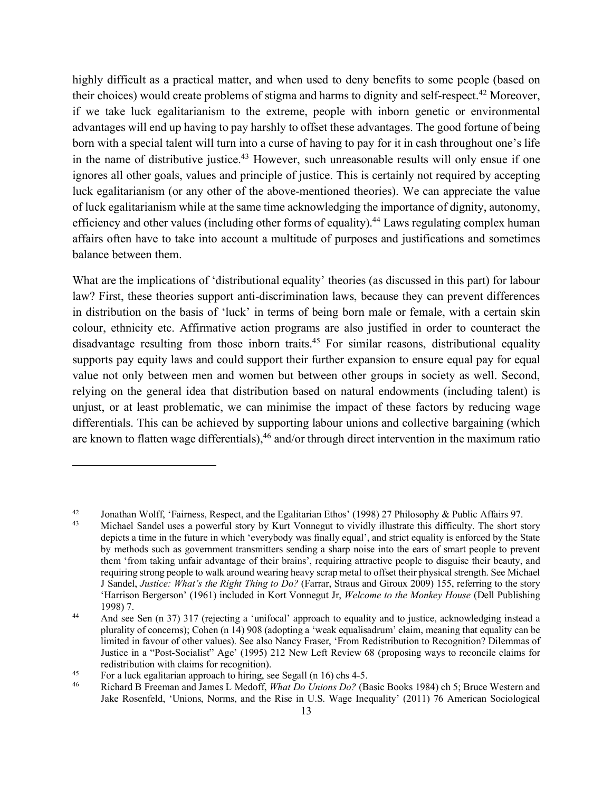highly difficult as a practical matter, and when used to deny benefits to some people (based on their choices) would create problems of stigma and harms to dignity and self-respect.42 Moreover, if we take luck egalitarianism to the extreme, people with inborn genetic or environmental advantages will end up having to pay harshly to offset these advantages. The good fortune of being born with a special talent will turn into a curse of having to pay for it in cash throughout one's life in the name of distributive justice.<sup>43</sup> However, such unreasonable results will only ensue if one ignores all other goals, values and principle of justice. This is certainly not required by accepting luck egalitarianism (or any other of the above-mentioned theories). We can appreciate the value of luck egalitarianism while at the same time acknowledging the importance of dignity, autonomy, efficiency and other values (including other forms of equality).<sup>44</sup> Laws regulating complex human affairs often have to take into account a multitude of purposes and justifications and sometimes balance between them.

What are the implications of 'distributional equality' theories (as discussed in this part) for labour law? First, these theories support anti-discrimination laws, because they can prevent differences in distribution on the basis of 'luck' in terms of being born male or female, with a certain skin colour, ethnicity etc. Affirmative action programs are also justified in order to counteract the disadvantage resulting from those inborn traits.<sup>45</sup> For similar reasons, distributional equality supports pay equity laws and could support their further expansion to ensure equal pay for equal value not only between men and women but between other groups in society as well. Second, relying on the general idea that distribution based on natural endowments (including talent) is unjust, or at least problematic, we can minimise the impact of these factors by reducing wage differentials. This can be achieved by supporting labour unions and collective bargaining (which are known to flatten wage differentials),<sup>46</sup> and/or through direct intervention in the maximum ratio

<sup>42</sup> Jonathan Wolff, 'Fairness, Respect, and the Egalitarian Ethos' (1998) 27 Philosophy & Public Affairs 97.

<sup>43</sup> Michael Sandel uses a powerful story by Kurt Vonnegut to vividly illustrate this difficulty. The short story depicts a time in the future in which 'everybody was finally equal', and strict equality is enforced by the State by methods such as government transmitters sending a sharp noise into the ears of smart people to prevent them 'from taking unfair advantage of their brains', requiring attractive people to disguise their beauty, and requiring strong people to walk around wearing heavy scrap metal to offset their physical strength. See Michael J Sandel, *Justice: What's the Right Thing to Do?* (Farrar, Straus and Giroux 2009) 155, referring to the story 'Harrison Bergerson' (1961) included in Kort Vonnegut Jr, *Welcome to the Monkey House* (Dell Publishing 1998) 7.<br>And see Sen (n 37) 317 (rejecting a 'unifocal' approach to equality and to justice, acknowledging instead a

plurality of concerns); Cohen (n 14) 908 (adopting a 'weak equalisadrum' claim, meaning that equality can be limited in favour of other values). See also Nancy Fraser, 'From Redistribution to Recognition? Dilemmas of Justice in a "Post-Socialist" Age' (1995) 212 New Left Review 68 (proposing ways to reconcile claims for redistribution with claims for recognition).<br>
<sup>45</sup> For a luck egalitarian approach to hiring, see Segall (n 16) chs 4-5.<br>
Richard B Freeman and James L Medoff, *What Do Unions Do?* (Basic Books 1984) ch 5; Bruce Western an

Jake Rosenfeld, 'Unions, Norms, and the Rise in U.S. Wage Inequality' (2011) 76 American Sociological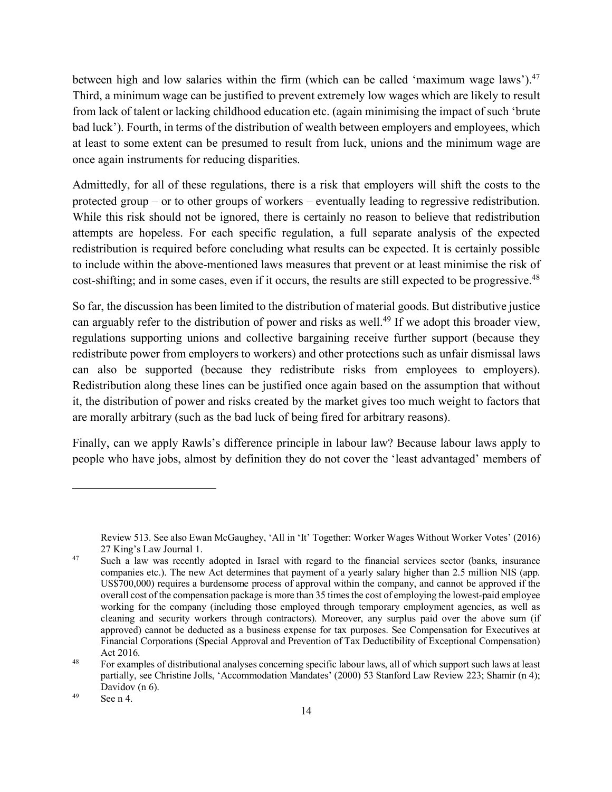between high and low salaries within the firm (which can be called 'maximum wage laws').<sup>47</sup> Third, a minimum wage can be justified to prevent extremely low wages which are likely to result from lack of talent or lacking childhood education etc. (again minimising the impact of such 'brute bad luck'). Fourth, in terms of the distribution of wealth between employers and employees, which at least to some extent can be presumed to result from luck, unions and the minimum wage are once again instruments for reducing disparities.

Admittedly, for all of these regulations, there is a risk that employers will shift the costs to the protected group – or to other groups of workers – eventually leading to regressive redistribution. While this risk should not be ignored, there is certainly no reason to believe that redistribution attempts are hopeless. For each specific regulation, a full separate analysis of the expected redistribution is required before concluding what results can be expected. It is certainly possible to include within the above-mentioned laws measures that prevent or at least minimise the risk of cost-shifting; and in some cases, even if it occurs, the results are still expected to be progressive.<sup>48</sup>

So far, the discussion has been limited to the distribution of material goods. But distributive justice can arguably refer to the distribution of power and risks as well.<sup>49</sup> If we adopt this broader view, regulations supporting unions and collective bargaining receive further support (because they redistribute power from employers to workers) and other protections such as unfair dismissal laws can also be supported (because they redistribute risks from employees to employers). Redistribution along these lines can be justified once again based on the assumption that without it, the distribution of power and risks created by the market gives too much weight to factors that are morally arbitrary (such as the bad luck of being fired for arbitrary reasons).

Finally, can we apply Rawls's difference principle in labour law? Because labour laws apply to people who have jobs, almost by definition they do not cover the 'least advantaged' members of

Review 513. See also Ewan McGaughey, 'All in 'It' Together: Worker Wages Without Worker Votes' (2016) 27 King's Law Journal 1.<br>
<sup>47</sup> Such a law was recently adopted in Israel with regard to the financial services sector (banks, insurance

companies etc.). The new Act determines that payment of a yearly salary higher than 2.5 million NIS (app. US\$700,000) requires a burdensome process of approval within the company, and cannot be approved if the overall cost of the compensation package is more than 35 times the cost of employing the lowest-paid employee working for the company (including those employed through temporary employment agencies, as well as cleaning and security workers through contractors). Moreover, any surplus paid over the above sum (if approved) cannot be deducted as a business expense for tax purposes. See Compensation for Executives at Financial Corporations (Special Approval and Prevention of Tax Deductibility of Exceptional Compensation)

Act 2016.<br><sup>48</sup> For examples of distributional analyses concerning specific labour laws, all of which support such laws at least partially, see Christine Jolls, 'Accommodation Mandates' (2000) 53 Stanford Law Review 223; Shamir (n 4); Davidov (n 6).

<sup>49</sup> See n 4.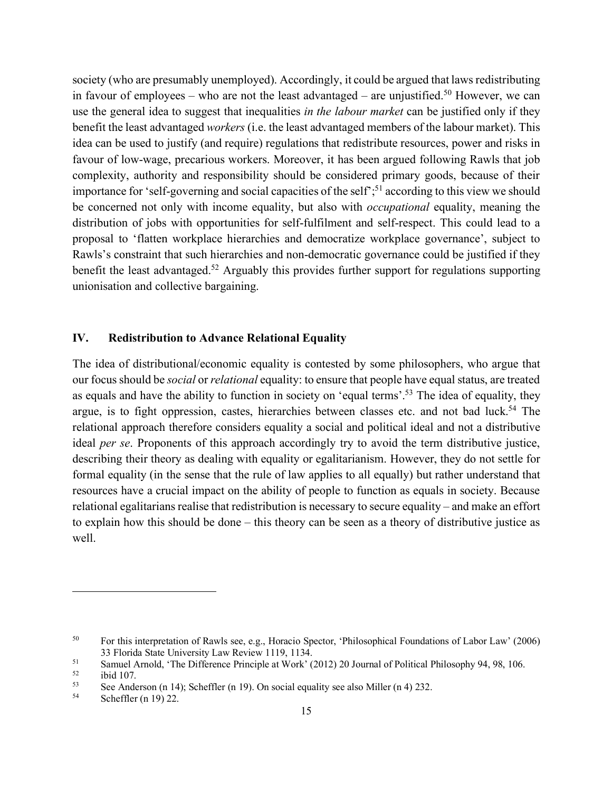society (who are presumably unemployed). Accordingly, it could be argued that laws redistributing in favour of employees – who are not the least advantaged – are unjustified.<sup>50</sup> However, we can use the general idea to suggest that inequalities *in the labour market* can be justified only if they benefit the least advantaged *workers* (i.e. the least advantaged members of the labour market). This idea can be used to justify (and require) regulations that redistribute resources, power and risks in favour of low-wage, precarious workers. Moreover, it has been argued following Rawls that job complexity, authority and responsibility should be considered primary goods, because of their importance for 'self-governing and social capacities of the self<sup>'</sup>;<sup>51</sup> according to this view we should be concerned not only with income equality, but also with *occupational* equality, meaning the distribution of jobs with opportunities for self-fulfilment and self-respect. This could lead to a proposal to 'flatten workplace hierarchies and democratize workplace governance', subject to Rawls's constraint that such hierarchies and non-democratic governance could be justified if they benefit the least advantaged.<sup>52</sup> Arguably this provides further support for regulations supporting unionisation and collective bargaining.

## **IV. Redistribution to Advance Relational Equality**

The idea of distributional/economic equality is contested by some philosophers, who argue that our focus should be *social* or *relational* equality: to ensure that people have equal status, are treated as equals and have the ability to function in society on 'equal terms'.53 The idea of equality, they argue, is to fight oppression, castes, hierarchies between classes etc. and not bad luck.<sup>54</sup> The relational approach therefore considers equality a social and political ideal and not a distributive ideal *per se*. Proponents of this approach accordingly try to avoid the term distributive justice, describing their theory as dealing with equality or egalitarianism. However, they do not settle for formal equality (in the sense that the rule of law applies to all equally) but rather understand that resources have a crucial impact on the ability of people to function as equals in society. Because relational egalitarians realise that redistribution is necessary to secure equality – and make an effort to explain how this should be done – this theory can be seen as a theory of distributive justice as well.

 $\overline{a}$ 

Scheffler (n 19) 22.

<sup>50</sup> For this interpretation of Rawls see, e.g., Horacio Spector, 'Philosophical Foundations of Labor Law' (2006) 33 Florida State University Law Review 1119, 1134.

<sup>&</sup>lt;sup>51</sup> Samuel Arnold, 'The Difference Principle at Work' (2012) 20 Journal of Political Philosophy 94, 98, 106.<br> $\frac{52}{100}$ 

ibid 107.

<sup>&</sup>lt;sup>53</sup> See Anderson (n 14); Scheffler (n 19). On social equality see also Miller (n 4) 232.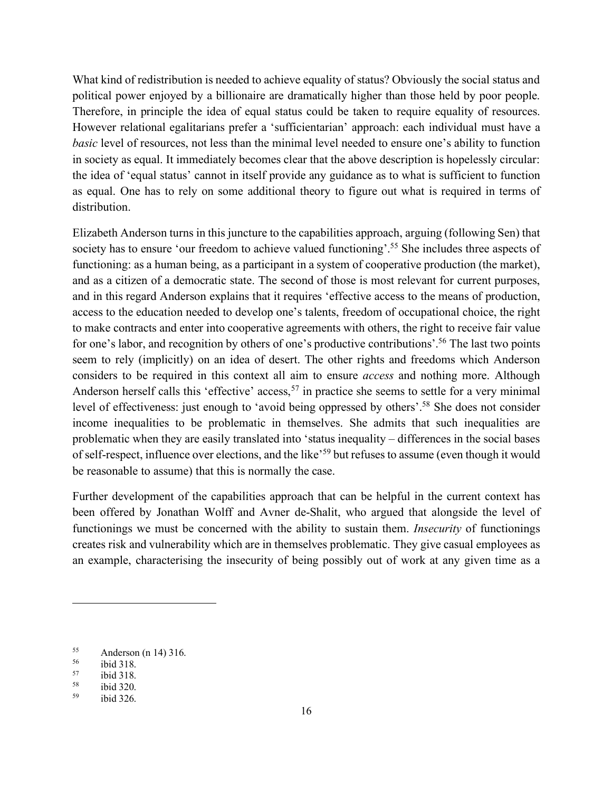What kind of redistribution is needed to achieve equality of status? Obviously the social status and political power enjoyed by a billionaire are dramatically higher than those held by poor people. Therefore, in principle the idea of equal status could be taken to require equality of resources. However relational egalitarians prefer a 'sufficientarian' approach: each individual must have a *basic* level of resources, not less than the minimal level needed to ensure one's ability to function in society as equal. It immediately becomes clear that the above description is hopelessly circular: the idea of 'equal status' cannot in itself provide any guidance as to what is sufficient to function as equal. One has to rely on some additional theory to figure out what is required in terms of distribution.

Elizabeth Anderson turns in this juncture to the capabilities approach, arguing (following Sen) that society has to ensure 'our freedom to achieve valued functioning'.<sup>55</sup> She includes three aspects of functioning: as a human being, as a participant in a system of cooperative production (the market), and as a citizen of a democratic state. The second of those is most relevant for current purposes, and in this regard Anderson explains that it requires 'effective access to the means of production, access to the education needed to develop one's talents, freedom of occupational choice, the right to make contracts and enter into cooperative agreements with others, the right to receive fair value for one's labor, and recognition by others of one's productive contributions'.<sup>56</sup> The last two points seem to rely (implicitly) on an idea of desert. The other rights and freedoms which Anderson considers to be required in this context all aim to ensure *access* and nothing more. Although Anderson herself calls this 'effective' access,<sup>57</sup> in practice she seems to settle for a very minimal level of effectiveness: just enough to 'avoid being oppressed by others'. <sup>58</sup> She does not consider income inequalities to be problematic in themselves. She admits that such inequalities are problematic when they are easily translated into 'status inequality – differences in the social bases of self-respect, influence over elections, and the like'59 but refuses to assume (even though it would be reasonable to assume) that this is normally the case.

Further development of the capabilities approach that can be helpful in the current context has been offered by Jonathan Wolff and Avner de-Shalit, who argued that alongside the level of functionings we must be concerned with the ability to sustain them. *Insecurity* of functionings creates risk and vulnerability which are in themselves problematic. They give casual employees as an example, characterising the insecurity of being possibly out of work at any given time as a

 $55$  Anderson (n 14) 316.

 $^{56}$  ibid 318.<br> $^{57}$  ibid 318.

ibid 318.

 $\frac{58}{59}$  ibid 320.

ibid 326.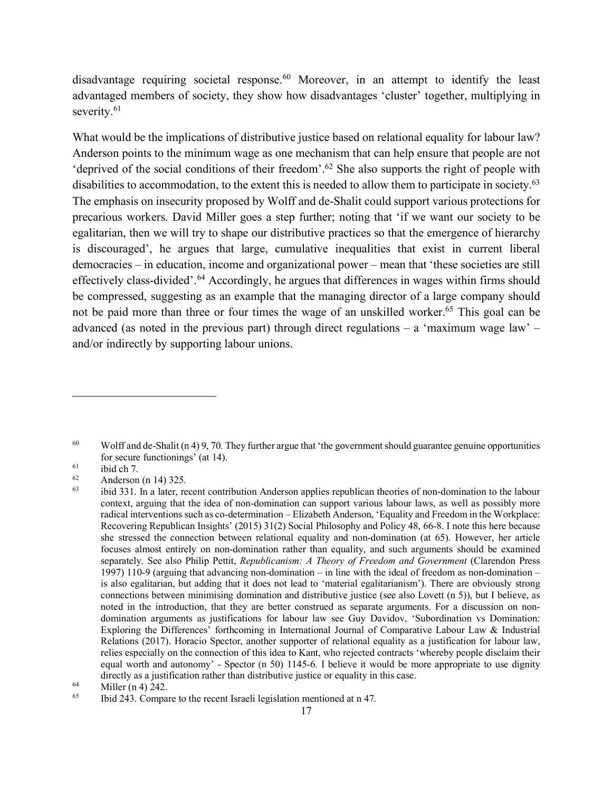disadvantage requiring societal response.<sup>60</sup> Moreover, in an attempt to identify the least advantaged members of society, they show how disadvantages 'cluster' together, multiplying in severity.<sup>61</sup>

What would be the implications of distributive justice based on relational equality for labour law? Anderson points to the minimum wage as one mechanism that can help ensure that people are not 'deprived of the social conditions of their freedom'. <sup>62</sup> She also supports the right of people with disabilities to accommodation, to the extent this is needed to allow them to participate in society.<sup>63</sup> The emphasis on insecurity proposed by Wolff and de-Shalit could support various protections for precarious workers. David Miller goes a step further; noting that 'if we want our society to be egalitarian, then we will try to shape our distributive practices so that the emergence of hierarchy is discouraged', he argues that large, cumulative inequalities that exist in current liberal democracies – in education, income and organizational power – mean that 'these societies are still effectively class-divided'.64 Accordingly, he argues that differences in wages within firms should be compressed, suggesting as an example that the managing director of a large company should not be paid more than three or four times the wage of an unskilled worker.<sup>65</sup> This goal can be advanced (as noted in the previous part) through direct regulations – a 'maximum wage law' – and/or indirectly by supporting labour unions.

<sup>60</sup> Wolff and de-Shalit (n 4) 9, 70. They further argue that 'the government should guarantee genuine opportunities for secure functionings' (at 14).<br>
ibid ch 7.<br>
Anderson (n 14) 325.

 $\frac{62}{63}$  Anderson (n 14) 325.

ibid 331. In a later, recent contribution Anderson applies republican theories of non-domination to the labour context, arguing that the idea of non-domination can support various labour laws, as well as possibly more radical interventions such as co-determination – Elizabeth Anderson, 'Equality and Freedom in the Workplace: Recovering Republican Insights' (2015) 31(2) Social Philosophy and Policy 48, 66-8. I note this here because she stressed the connection between relational equality and non-domination (at 65). However, her article focuses almost entirely on non-domination rather than equality, and such arguments should be examined separately. See also Philip Pettit, *Republicanism: A Theory of Freedom and Government* (Clarendon Press 1997) 110-9 (arguing that advancing non-domination – in line with the ideal of freedom as non-domination – is also egalitarian, but adding that it does not lead to 'material egalitarianism'). There are obviously strong connections between minimising domination and distributive justice (see also Lovett (n 5)), but I believe, as noted in the introduction, that they are better construed as separate arguments. For a discussion on nondomination arguments as justifications for labour law see Guy Davidov, 'Subordination vs Domination: Exploring the Differences' forthcoming in International Journal of Comparative Labour Law & Industrial Relations (2017). Horacio Spector, another supporter of relational equality as a justification for labour law, relies especially on the connection of this idea to Kant, who rejected contracts 'whereby people disclaim their equal worth and autonomy' - Spector (n 50) 1145-6. I believe it would be more appropriate to use dignity directly as a justification rather than distributive justice or equality in this case.

<sup>64</sup> Miller (n 4) 242.

<sup>65</sup> Ibid 243. Compare to the recent Israeli legislation mentioned at n 47.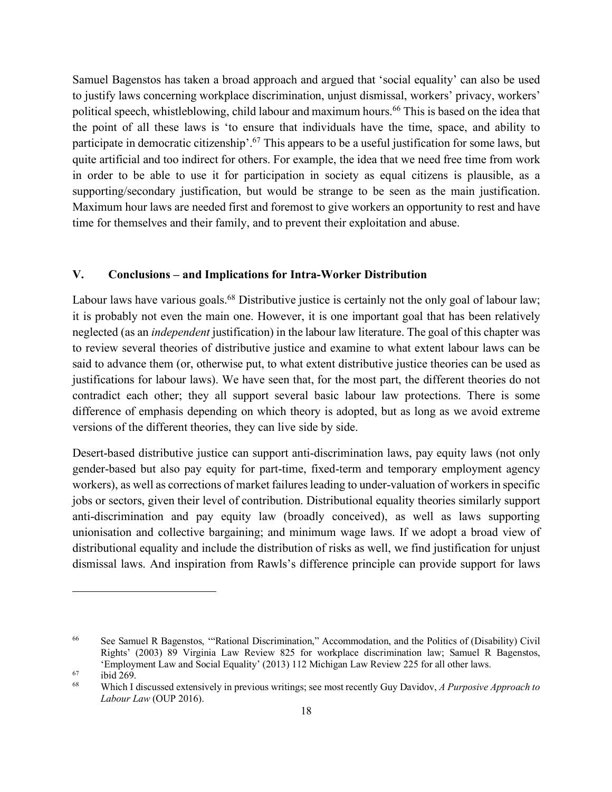Samuel Bagenstos has taken a broad approach and argued that 'social equality' can also be used to justify laws concerning workplace discrimination, unjust dismissal, workers' privacy, workers' political speech, whistleblowing, child labour and maximum hours.<sup>66</sup> This is based on the idea that the point of all these laws is 'to ensure that individuals have the time, space, and ability to participate in democratic citizenship'.67 This appears to be a useful justification for some laws, but quite artificial and too indirect for others. For example, the idea that we need free time from work in order to be able to use it for participation in society as equal citizens is plausible, as a supporting/secondary justification, but would be strange to be seen as the main justification. Maximum hour laws are needed first and foremost to give workers an opportunity to rest and have time for themselves and their family, and to prevent their exploitation and abuse.

#### **V. Conclusions – and Implications for Intra-Worker Distribution**

Labour laws have various goals.<sup>68</sup> Distributive justice is certainly not the only goal of labour law; it is probably not even the main one. However, it is one important goal that has been relatively neglected (as an *independent* justification) in the labour law literature. The goal of this chapter was to review several theories of distributive justice and examine to what extent labour laws can be said to advance them (or, otherwise put, to what extent distributive justice theories can be used as justifications for labour laws). We have seen that, for the most part, the different theories do not contradict each other; they all support several basic labour law protections. There is some difference of emphasis depending on which theory is adopted, but as long as we avoid extreme versions of the different theories, they can live side by side.

Desert-based distributive justice can support anti-discrimination laws, pay equity laws (not only gender-based but also pay equity for part-time, fixed-term and temporary employment agency workers), as well as corrections of market failures leading to under-valuation of workers in specific jobs or sectors, given their level of contribution. Distributional equality theories similarly support anti-discrimination and pay equity law (broadly conceived), as well as laws supporting unionisation and collective bargaining; and minimum wage laws. If we adopt a broad view of distributional equality and include the distribution of risks as well, we find justification for unjust dismissal laws. And inspiration from Rawls's difference principle can provide support for laws

<sup>66</sup> See Samuel R Bagenstos, '"Rational Discrimination," Accommodation, and the Politics of (Disability) Civil Rights' (2003) 89 Virginia Law Review 825 for workplace discrimination law; Samuel R Bagenstos, 'Employment Law and Social Equality' (2013) 112 Michigan Law Review <sup>225</sup> for all other laws. 67 ibid 269.

<sup>68</sup> Which I discussed extensively in previous writings; see most recently Guy Davidov, *A Purposive Approach to Labour Law* (OUP 2016).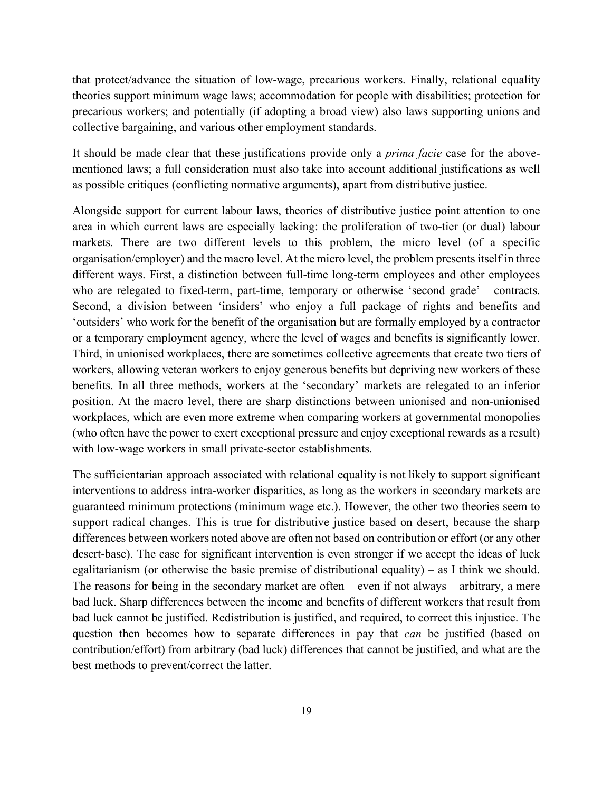that protect/advance the situation of low-wage, precarious workers. Finally, relational equality theories support minimum wage laws; accommodation for people with disabilities; protection for precarious workers; and potentially (if adopting a broad view) also laws supporting unions and collective bargaining, and various other employment standards.

It should be made clear that these justifications provide only a *prima facie* case for the abovementioned laws; a full consideration must also take into account additional justifications as well as possible critiques (conflicting normative arguments), apart from distributive justice.

Alongside support for current labour laws, theories of distributive justice point attention to one area in which current laws are especially lacking: the proliferation of two-tier (or dual) labour markets. There are two different levels to this problem, the micro level (of a specific organisation/employer) and the macro level. At the micro level, the problem presents itself in three different ways. First, a distinction between full-time long-term employees and other employees who are relegated to fixed-term, part-time, temporary or otherwise 'second grade' contracts. Second, a division between 'insiders' who enjoy a full package of rights and benefits and 'outsiders' who work for the benefit of the organisation but are formally employed by a contractor or a temporary employment agency, where the level of wages and benefits is significantly lower. Third, in unionised workplaces, there are sometimes collective agreements that create two tiers of workers, allowing veteran workers to enjoy generous benefits but depriving new workers of these benefits. In all three methods, workers at the 'secondary' markets are relegated to an inferior position. At the macro level, there are sharp distinctions between unionised and non-unionised workplaces, which are even more extreme when comparing workers at governmental monopolies (who often have the power to exert exceptional pressure and enjoy exceptional rewards as a result) with low-wage workers in small private-sector establishments.

The sufficientarian approach associated with relational equality is not likely to support significant interventions to address intra-worker disparities, as long as the workers in secondary markets are guaranteed minimum protections (minimum wage etc.). However, the other two theories seem to support radical changes. This is true for distributive justice based on desert, because the sharp differences between workers noted above are often not based on contribution or effort (or any other desert-base). The case for significant intervention is even stronger if we accept the ideas of luck egalitarianism (or otherwise the basic premise of distributional equality) – as I think we should. The reasons for being in the secondary market are often – even if not always – arbitrary, a mere bad luck. Sharp differences between the income and benefits of different workers that result from bad luck cannot be justified. Redistribution is justified, and required, to correct this injustice. The question then becomes how to separate differences in pay that *can* be justified (based on contribution/effort) from arbitrary (bad luck) differences that cannot be justified, and what are the best methods to prevent/correct the latter.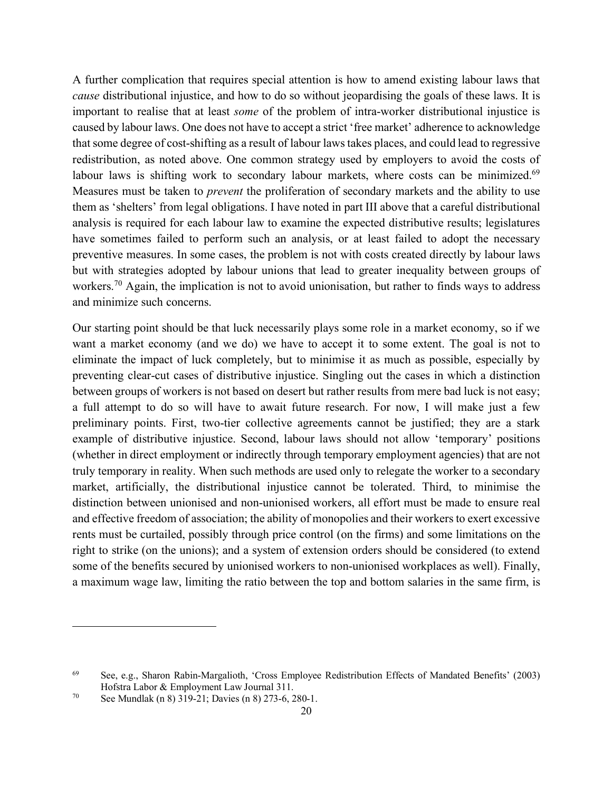A further complication that requires special attention is how to amend existing labour laws that *cause* distributional injustice, and how to do so without jeopardising the goals of these laws. It is important to realise that at least *some* of the problem of intra-worker distributional injustice is caused by labour laws. One does not have to accept a strict 'free market' adherence to acknowledge that some degree of cost-shifting as a result of labour laws takes places, and could lead to regressive redistribution, as noted above. One common strategy used by employers to avoid the costs of labour laws is shifting work to secondary labour markets, where costs can be minimized.<sup>69</sup> Measures must be taken to *prevent* the proliferation of secondary markets and the ability to use them as 'shelters' from legal obligations. I have noted in part III above that a careful distributional analysis is required for each labour law to examine the expected distributive results; legislatures have sometimes failed to perform such an analysis, or at least failed to adopt the necessary preventive measures. In some cases, the problem is not with costs created directly by labour laws but with strategies adopted by labour unions that lead to greater inequality between groups of workers.<sup>70</sup> Again, the implication is not to avoid unionisation, but rather to finds ways to address and minimize such concerns.

Our starting point should be that luck necessarily plays some role in a market economy, so if we want a market economy (and we do) we have to accept it to some extent. The goal is not to eliminate the impact of luck completely, but to minimise it as much as possible, especially by preventing clear-cut cases of distributive injustice. Singling out the cases in which a distinction between groups of workers is not based on desert but rather results from mere bad luck is not easy; a full attempt to do so will have to await future research. For now, I will make just a few preliminary points. First, two-tier collective agreements cannot be justified; they are a stark example of distributive injustice. Second, labour laws should not allow 'temporary' positions (whether in direct employment or indirectly through temporary employment agencies) that are not truly temporary in reality. When such methods are used only to relegate the worker to a secondary market, artificially, the distributional injustice cannot be tolerated. Third, to minimise the distinction between unionised and non-unionised workers, all effort must be made to ensure real and effective freedom of association; the ability of monopolies and their workers to exert excessive rents must be curtailed, possibly through price control (on the firms) and some limitations on the right to strike (on the unions); and a system of extension orders should be considered (to extend some of the benefits secured by unionised workers to non-unionised workplaces as well). Finally, a maximum wage law, limiting the ratio between the top and bottom salaries in the same firm, is

<sup>69</sup> See, e.g., Sharon Rabin-Margalioth, 'Cross Employee Redistribution Effects of Mandated Benefits' (2003) Hofstra Labor & Employment Law Journal 311.

<sup>70</sup> See Mundlak (n 8) 319-21; Davies (n 8) 273-6, 280-1.